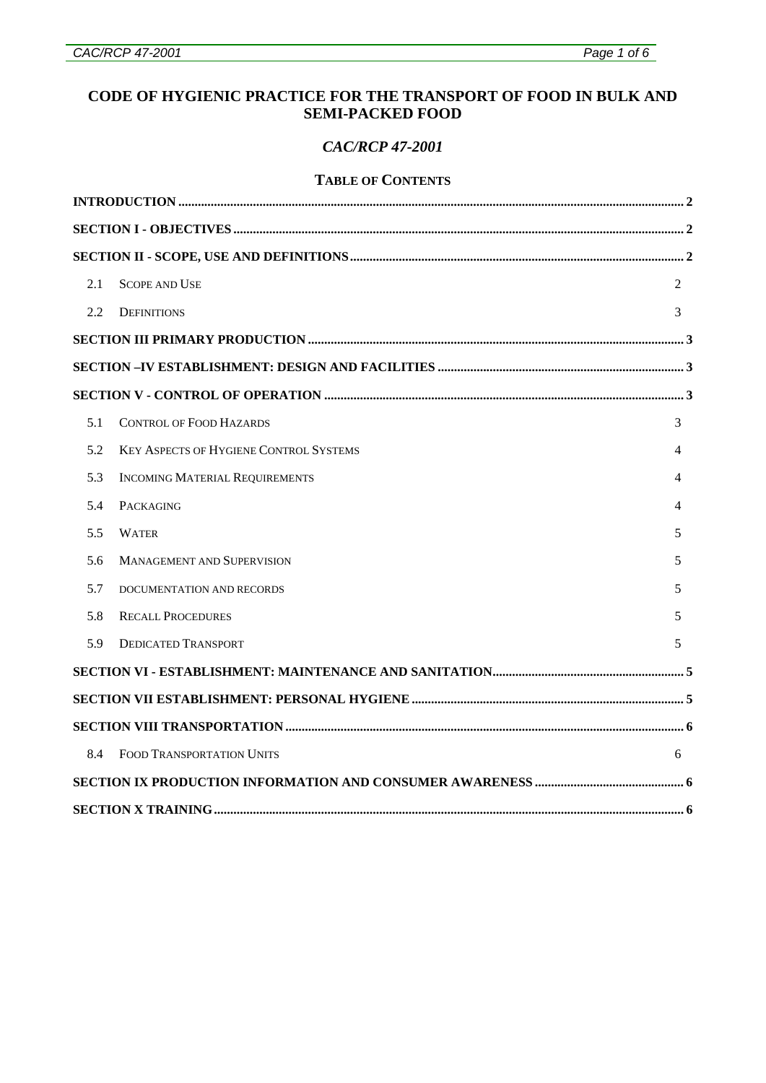# **CODE OF HYGIENIC PRACTICE FOR THE TRANSPORT OF FOOD IN BULK AND SEMI-PACKED FOOD**

#### *CAC/RCP 47-2001*

#### **TABLE OF CONTENTS**

| 2.1 | <b>SCOPE AND USE</b>                          | $\mathfrak{D}$ |
|-----|-----------------------------------------------|----------------|
| 2.2 | <b>DEFINITIONS</b>                            | 3              |
|     |                                               |                |
|     |                                               |                |
|     |                                               |                |
| 5.1 | <b>CONTROL OF FOOD HAZARDS</b>                | 3              |
| 5.2 | <b>KEY ASPECTS OF HYGIENE CONTROL SYSTEMS</b> | 4              |
| 5.3 | <b>INCOMING MATERIAL REQUIREMENTS</b>         | 4              |
| 5.4 | <b>PACKAGING</b>                              | 4              |
| 5.5 | <b>WATER</b>                                  | 5              |
| 5.6 | <b>MANAGEMENT AND SUPERVISION</b>             | 5.             |
| 5.7 | DOCUMENTATION AND RECORDS                     | 5              |
| 5.8 | <b>RECALL PROCEDURES</b>                      | 5              |
| 5.9 | <b>DEDICATED TRANSPORT</b>                    | 5              |
|     |                                               |                |
|     |                                               |                |
|     |                                               |                |
| 8.4 | FOOD TRANSPORTATION UNITS                     | 6              |
|     |                                               |                |
|     |                                               |                |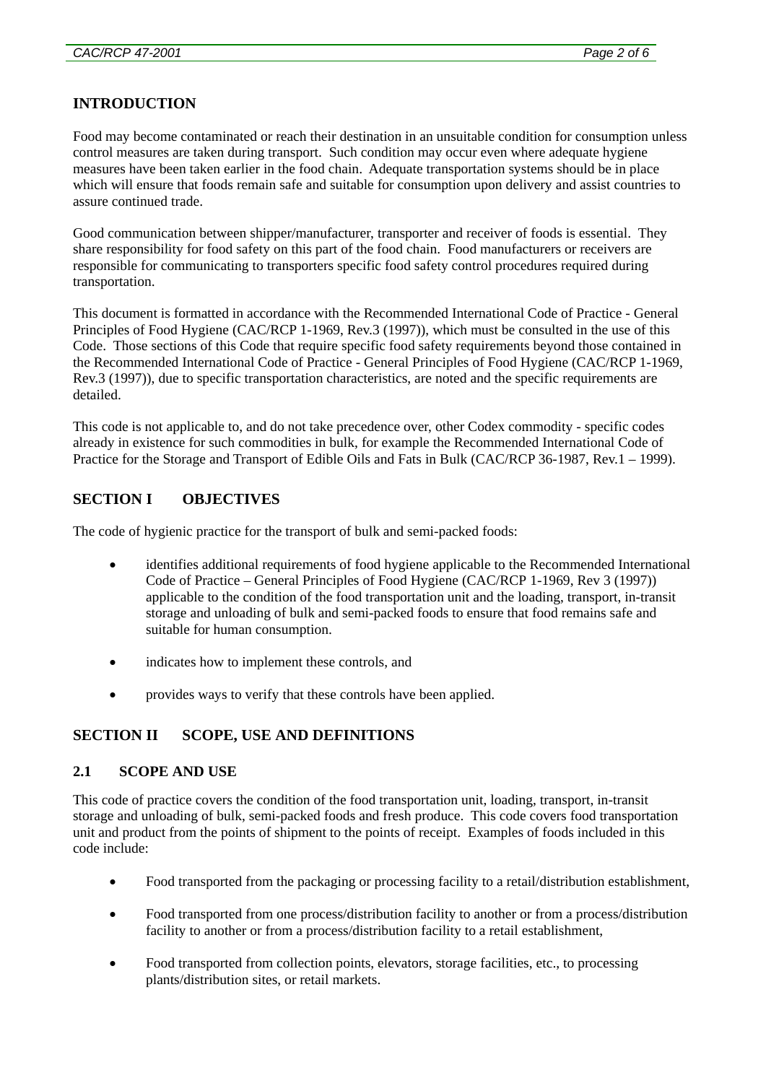# <span id="page-1-0"></span>**INTRODUCTION**

Food may become contaminated or reach their destination in an unsuitable condition for consumption unless control measures are taken during transport. Such condition may occur even where adequate hygiene measures have been taken earlier in the food chain. Adequate transportation systems should be in place which will ensure that foods remain safe and suitable for consumption upon delivery and assist countries to assure continued trade.

Good communication between shipper/manufacturer, transporter and receiver of foods is essential. They share responsibility for food safety on this part of the food chain. Food manufacturers or receivers are responsible for communicating to transporters specific food safety control procedures required during transportation.

This document is formatted in accordance with the Recommended International Code of Practice - General Principles of Food Hygiene (CAC/RCP 1-1969, Rev.3 (1997)), which must be consulted in the use of this Code. Those sections of this Code that require specific food safety requirements beyond those contained in the Recommended International Code of Practice - General Principles of Food Hygiene (CAC/RCP 1-1969, Rev.3 (1997)), due to specific transportation characteristics, are noted and the specific requirements are detailed.

This code is not applicable to, and do not take precedence over, other Codex commodity - specific codes already in existence for such commodities in bulk, for example the Recommended International Code of Practice for the Storage and Transport of Edible Oils and Fats in Bulk (CAC/RCP 36-1987, Rev.1 – 1999).

# **SECTION I OBJECTIVES**

The code of hygienic practice for the transport of bulk and semi-packed foods:

- identifies additional requirements of food hygiene applicable to the Recommended International Code of Practice – General Principles of Food Hygiene (CAC/RCP 1-1969, Rev 3 (1997)) applicable to the condition of the food transportation unit and the loading, transport, in-transit storage and unloading of bulk and semi-packed foods to ensure that food remains safe and suitable for human consumption.
- indicates how to implement these controls, and
- provides ways to verify that these controls have been applied.

### **SECTION II SCOPE, USE AND DEFINITIONS**

#### **2.1 SCOPE AND USE**

This code of practice covers the condition of the food transportation unit, loading, transport, in-transit storage and unloading of bulk, semi-packed foods and fresh produce. This code covers food transportation unit and product from the points of shipment to the points of receipt. Examples of foods included in this code include:

- Food transported from the packaging or processing facility to a retail/distribution establishment,
- Food transported from one process/distribution facility to another or from a process/distribution facility to another or from a process/distribution facility to a retail establishment,
- Food transported from collection points, elevators, storage facilities, etc., to processing plants/distribution sites, or retail markets.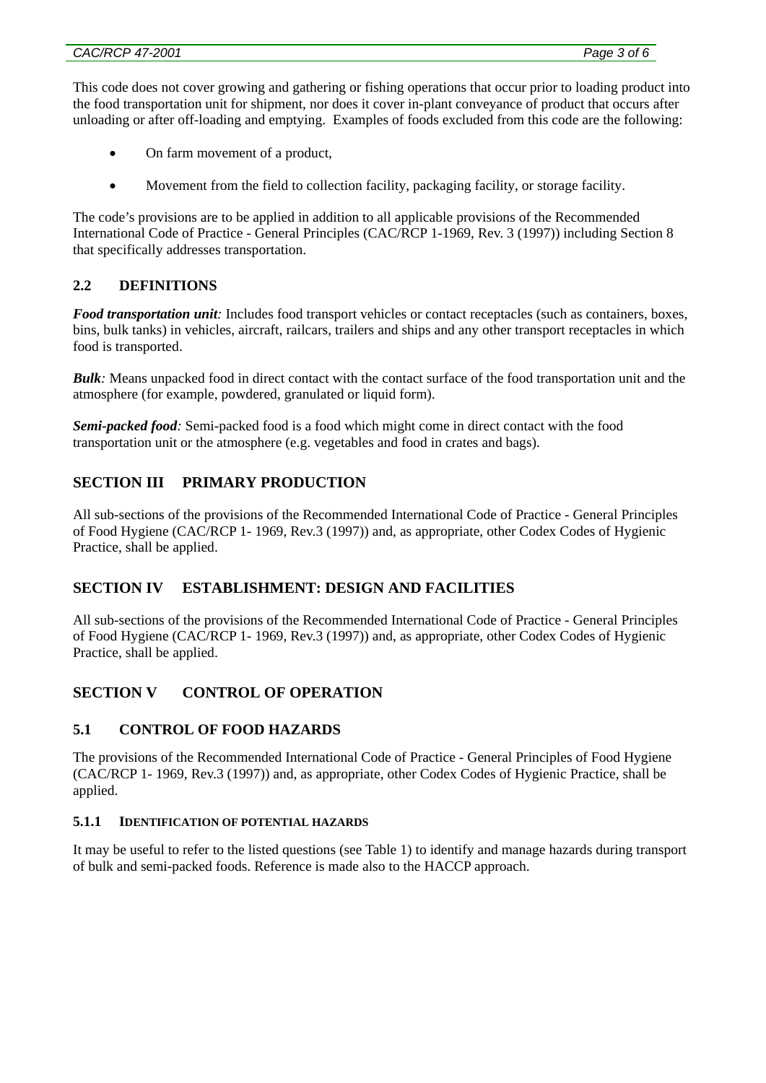<span id="page-2-0"></span>This code does not cover growing and gathering or fishing operations that occur prior to loading product into the food transportation unit for shipment, nor does it cover in-plant conveyance of product that occurs after unloading or after off-loading and emptying. Examples of foods excluded from this code are the following:

- On farm movement of a product,
- Movement from the field to collection facility, packaging facility, or storage facility.

The code's provisions are to be applied in addition to all applicable provisions of the Recommended International Code of Practice - General Principles (CAC/RCP 1-1969, Rev. 3 (1997)) including Section 8 that specifically addresses transportation.

### **2.2 DEFINITIONS**

*Food transportation <i>unit*: Includes food transport vehicles or contact receptacles (such as containers, boxes, bins, bulk tanks) in vehicles, aircraft, railcars, trailers and ships and any other transport receptacles in which food is transported.

*Bulk:* Means unpacked food in direct contact with the contact surface of the food transportation unit and the atmosphere (for example, powdered, granulated or liquid form).

*Semi-packed food:* Semi-packed food is a food which might come in direct contact with the food transportation unit or the atmosphere (e.g. vegetables and food in crates and bags).

# **SECTION III PRIMARY PRODUCTION**

All sub-sections of the provisions of the Recommended International Code of Practice - General Principles of Food Hygiene (CAC/RCP 1- 1969, Rev.3 (1997)) and, as appropriate, other Codex Codes of Hygienic Practice, shall be applied.

# **SECTION IV ESTABLISHMENT: DESIGN AND FACILITIES**

All sub-sections of the provisions of the Recommended International Code of Practice - General Principles of Food Hygiene (CAC/RCP 1- 1969, Rev.3 (1997)) and, as appropriate, other Codex Codes of Hygienic Practice, shall be applied.

# **SECTION V CONTROL OF OPERATION**

### **5.1 CONTROL OF FOOD HAZARDS**

The provisions of the Recommended International Code of Practice - General Principles of Food Hygiene (CAC/RCP 1- 1969, Rev.3 (1997)) and, as appropriate, other Codex Codes of Hygienic Practice, shall be applied.

#### **5.1.1 IDENTIFICATION OF POTENTIAL HAZARDS**

It may be useful to refer to the listed questions (see Table 1) to identify and manage hazards during transport of bulk and semi-packed foods. Reference is made also to the HACCP approach.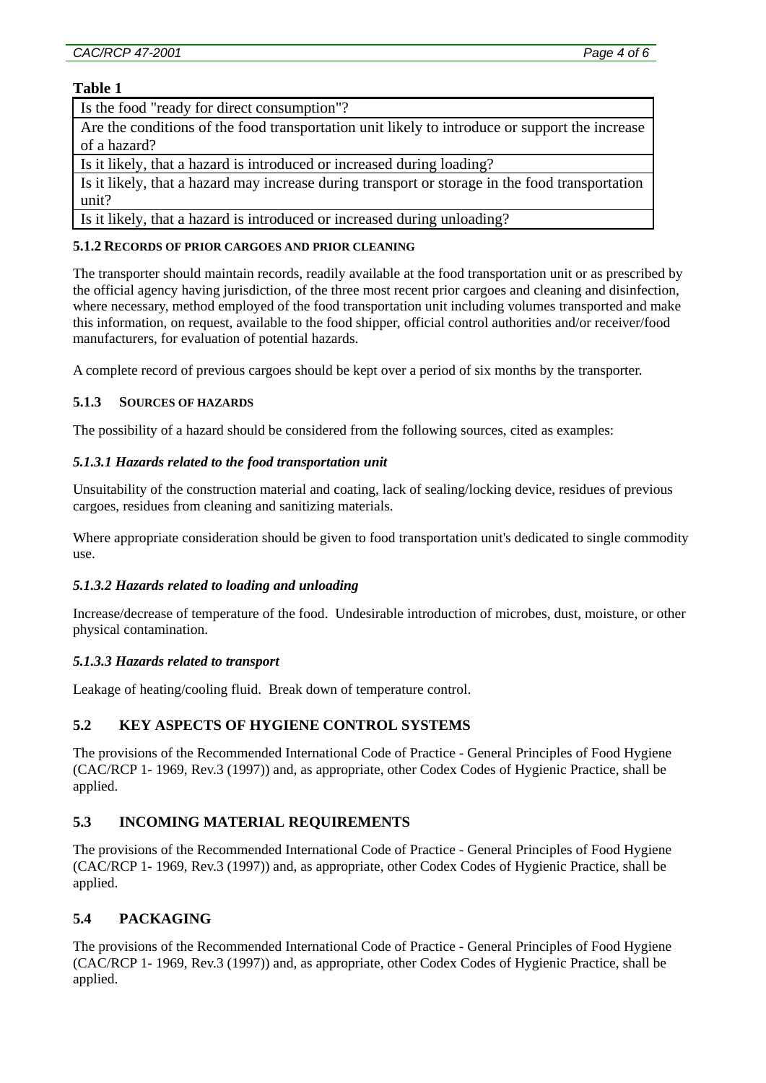#### <span id="page-3-0"></span>**Table 1**

#### Is the food "ready for direct consumption"?

Are the conditions of the food transportation unit likely to introduce or support the increase of a hazard?

Is it likely, that a hazard is introduced or increased during loading?

Is it likely, that a hazard may increase during transport or storage in the food transportation unit?

Is it likely, that a hazard is introduced or increased during unloading?

#### **5.1.2 RECORDS OF PRIOR CARGOES AND PRIOR CLEANING**

The transporter should maintain records, readily available at the food transportation unit or as prescribed by the official agency having jurisdiction, of the three most recent prior cargoes and cleaning and disinfection, where necessary, method employed of the food transportation unit including volumes transported and make this information, on request, available to the food shipper, official control authorities and/or receiver/food manufacturers, for evaluation of potential hazards.

A complete record of previous cargoes should be kept over a period of six months by the transporter.

#### **5.1.3 SOURCES OF HAZARDS**

The possibility of a hazard should be considered from the following sources, cited as examples:

#### *5.1.3.1 Hazards related to the food transportation unit*

Unsuitability of the construction material and coating, lack of sealing/locking device, residues of previous cargoes, residues from cleaning and sanitizing materials.

Where appropriate consideration should be given to food transportation unit's dedicated to single commodity use.

#### *5.1.3.2 Hazards related to loading and unloading*

Increase/decrease of temperature of the food. Undesirable introduction of microbes, dust, moisture, or other physical contamination.

#### *5.1.3.3 Hazards related to transport*

Leakage of heating/cooling fluid. Break down of temperature control.

### **5.2 KEY ASPECTS OF HYGIENE CONTROL SYSTEMS**

The provisions of the Recommended International Code of Practice - General Principles of Food Hygiene (CAC/RCP 1- 1969, Rev.3 (1997)) and, as appropriate, other Codex Codes of Hygienic Practice, shall be applied.

### **5.3 INCOMING MATERIAL REQUIREMENTS**

The provisions of the Recommended International Code of Practice - General Principles of Food Hygiene (CAC/RCP 1- 1969, Rev.3 (1997)) and, as appropriate, other Codex Codes of Hygienic Practice, shall be applied.

### **5.4 PACKAGING**

The provisions of the Recommended International Code of Practice - General Principles of Food Hygiene (CAC/RCP 1- 1969, Rev.3 (1997)) and, as appropriate, other Codex Codes of Hygienic Practice, shall be applied.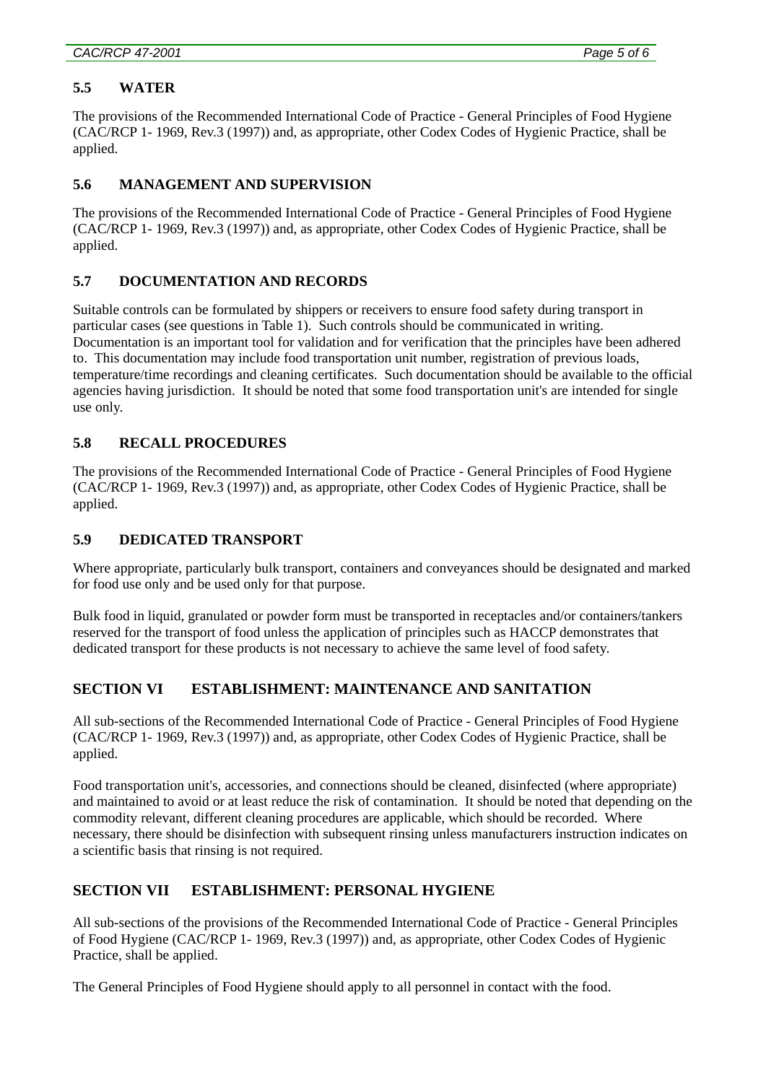## <span id="page-4-0"></span>*CAC/RCP 47-2001 Page 5 of 6*

## **5.5 WATER**

The provisions of the Recommended International Code of Practice - General Principles of Food Hygiene (CAC/RCP 1- 1969, Rev.3 (1997)) and, as appropriate, other Codex Codes of Hygienic Practice, shall be applied.

# **5.6 MANAGEMENT AND SUPERVISION**

The provisions of the Recommended International Code of Practice - General Principles of Food Hygiene (CAC/RCP 1- 1969, Rev.3 (1997)) and, as appropriate, other Codex Codes of Hygienic Practice, shall be applied.

### **5.7 DOCUMENTATION AND RECORDS**

Suitable controls can be formulated by shippers or receivers to ensure food safety during transport in particular cases (see questions in Table 1). Such controls should be communicated in writing. Documentation is an important tool for validation and for verification that the principles have been adhered to. This documentation may include food transportation unit number, registration of previous loads, temperature/time recordings and cleaning certificates. Such documentation should be available to the official agencies having jurisdiction. It should be noted that some food transportation unit's are intended for single use only.

# **5.8 RECALL PROCEDURES**

The provisions of the Recommended International Code of Practice - General Principles of Food Hygiene (CAC/RCP 1- 1969, Rev.3 (1997)) and, as appropriate, other Codex Codes of Hygienic Practice, shall be applied.

## **5.9 DEDICATED TRANSPORT**

Where appropriate, particularly bulk transport, containers and conveyances should be designated and marked for food use only and be used only for that purpose.

Bulk food in liquid, granulated or powder form must be transported in receptacles and/or containers/tankers reserved for the transport of food unless the application of principles such as HACCP demonstrates that dedicated transport for these products is not necessary to achieve the same level of food safety.

# **SECTION VI ESTABLISHMENT: MAINTENANCE AND SANITATION**

All sub-sections of the Recommended International Code of Practice - General Principles of Food Hygiene (CAC/RCP 1- 1969, Rev.3 (1997)) and, as appropriate, other Codex Codes of Hygienic Practice, shall be applied.

Food transportation unit's, accessories, and connections should be cleaned, disinfected (where appropriate) and maintained to avoid or at least reduce the risk of contamination. It should be noted that depending on the commodity relevant, different cleaning procedures are applicable, which should be recorded. Where necessary, there should be disinfection with subsequent rinsing unless manufacturers instruction indicates on a scientific basis that rinsing is not required.

### **SECTION VII ESTABLISHMENT: PERSONAL HYGIENE**

All sub-sections of the provisions of the Recommended International Code of Practice - General Principles of Food Hygiene (CAC/RCP 1- 1969, Rev.3 (1997)) and, as appropriate, other Codex Codes of Hygienic Practice, shall be applied.

The General Principles of Food Hygiene should apply to all personnel in contact with the food.